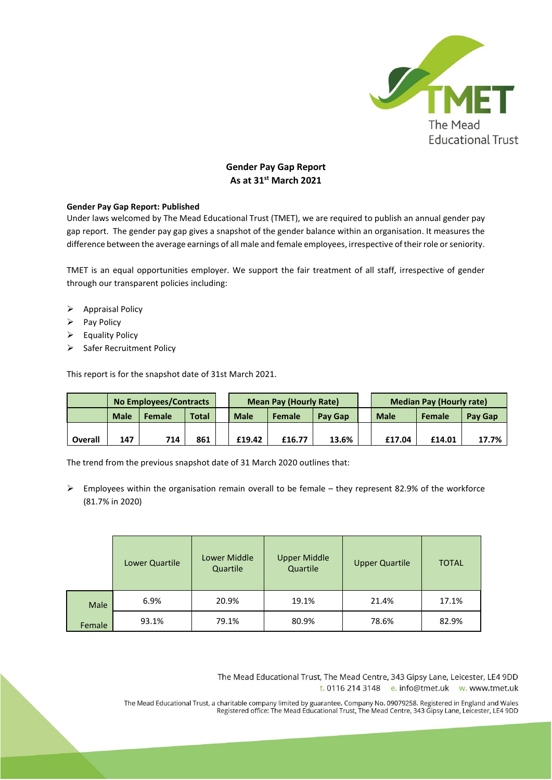

## **Gender Pay Gap Report As at 31st March 2021**

## **Gender Pay Gap Report: Published**

Under laws welcomed by The Mead Educational Trust (TMET), we are required to publish an annual gender pay gap report. The gender pay gap gives a snapshot of the gender balance within an organisation. It measures the difference between the average earnings of all male and female employees, irrespective of their role or seniority.

TMET is an equal opportunities employer. We support the fair treatment of all staff, irrespective of gender through our transparent policies including:

- ➢ Appraisal Policy
- ➢ Pay Policy
- ➢ Equality Policy
- ➢ Safer Recruitment Policy

This report is for the snapshot date of 31st March 2021.

|                | No Employees/Contracts |        |       | <b>Mean Pay (Hourly Rate)</b> |        |                | <b>Median Pay (Hourly rate)</b> |               |         |
|----------------|------------------------|--------|-------|-------------------------------|--------|----------------|---------------------------------|---------------|---------|
|                | <b>Male</b>            | Female | Total | <b>Male</b>                   | Female | <b>Pay Gap</b> | <b>Male</b>                     | <b>Female</b> | Pay Gap |
|                |                        |        |       |                               |        |                |                                 |               |         |
| <b>Overall</b> | 147                    | 714    | 861   | £19.42                        | £16.77 | 13.6%          | £17.04                          | £14.01        | 17.7%   |

The trend from the previous snapshot date of 31 March 2020 outlines that:

 $\triangleright$  Employees within the organisation remain overall to be female – they represent 82.9% of the workforce (81.7% in 2020)

|                | Lower Quartile | Lower Middle<br>Quartile | <b>Upper Middle</b><br>Quartile | <b>Upper Quartile</b> | <b>TOTAL</b> |
|----------------|----------------|--------------------------|---------------------------------|-----------------------|--------------|
| Male<br>Female | 6.9%           | 20.9%                    | 19.1%                           | 21.4%                 | 17.1%        |
|                | 93.1%          | 79.1%                    | 80.9%                           | 78.6%                 | 82.9%        |

The Mead Educational Trust, The Mead Centre, 343 Gipsy Lane, Leicester, LE4 9DD t. 0116 214 3148 e. info@tmet.uk w. www.tmet.uk

The Mead Educational Trust, a charitable company limited by guarantee. Company No. 09079258. Registered in England and Wales<br>Registered office: The Mead Educational Trust, The Mead Centre, 343 Gipsy Lane, Leicester, LE4 9D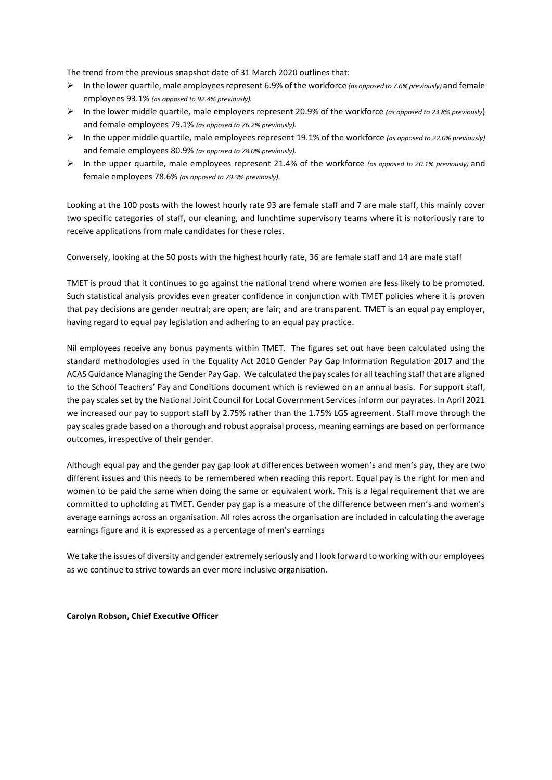The trend from the previous snapshot date of 31 March 2020 outlines that:

- ➢ In the lower quartile, male employees represent 6.9% of the workforce *(as opposed to 7.6% previously)* and female employees 93.1% *(as opposed to 92.4% previously).*
- ➢ In the lower middle quartile, male employees represent 20.9% of the workforce *(as opposed to 23.8% previously*) and female employees 79.1% *(as opposed to 76.2% previously).*
- ➢ In the upper middle quartile, male employees represent 19.1% of the workforce *(as opposed to 22.0% previously)*  and female employees 80.9% *(as opposed to 78.0% previously).*
- ➢ In the upper quartile, male employees represent 21.4% of the workforce *(as opposed to 20.1% previously)* and female employees 78.6% *(as opposed to 79.9% previously).*

Looking at the 100 posts with the lowest hourly rate 93 are female staff and 7 are male staff, this mainly cover two specific categories of staff, our cleaning, and lunchtime supervisory teams where it is notoriously rare to receive applications from male candidates for these roles.

Conversely, looking at the 50 posts with the highest hourly rate, 36 are female staff and 14 are male staff

TMET is proud that it continues to go against the national trend where women are less likely to be promoted. Such statistical analysis provides even greater confidence in conjunction with TMET policies where it is proven that pay decisions are gender neutral; are open; are fair; and are transparent. TMET is an equal pay employer, having regard to equal pay legislation and adhering to an equal pay practice.

Nil employees receive any bonus payments within TMET. The figures set out have been calculated using the standard methodologies used in the Equality Act 2010 Gender Pay Gap Information Regulation 2017 and the ACAS Guidance Managing the Gender Pay Gap. We calculated the pay scales for all teaching staff that are aligned to the School Teachers' Pay and Conditions document which is reviewed on an annual basis. For support staff, the pay scales set by the National Joint Council for Local Government Services inform our payrates. In April 2021 we increased our pay to support staff by 2.75% rather than the 1.75% LGS agreement. Staff move through the pay scales grade based on a thorough and robust appraisal process, meaning earnings are based on performance outcomes, irrespective of their gender.

Although equal pay and the gender pay gap look at differences between women's and men's pay, they are two different issues and this needs to be remembered when reading this report. Equal pay is the right for men and women to be paid the same when doing the same or equivalent work. This is a legal requirement that we are committed to upholding at TMET. Gender pay gap is a measure of the difference between men's and women's average earnings across an organisation. All roles across the organisation are included in calculating the average earnings figure and it is expressed as a percentage of men's earnings

We take the issues of diversity and gender extremely seriously and I look forward to working with our employees as we continue to strive towards an ever more inclusive organisation.

## **Carolyn Robson, Chief Executive Officer**